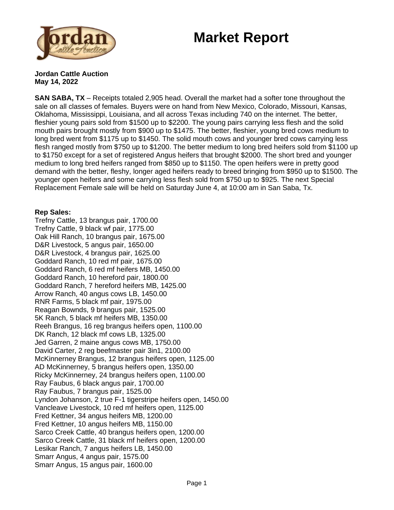## **Market Report**



**Jordan Cattle Auction May 14, 2022**

**SAN SABA, TX** – Receipts totaled 2,905 head. Overall the market had a softer tone throughout the sale on all classes of females. Buyers were on hand from New Mexico, Colorado, Missouri, Kansas, Oklahoma, Mississippi, Louisiana, and all across Texas including 740 on the internet. The better, fleshier young pairs sold from \$1500 up to \$2200. The young pairs carrying less flesh and the solid mouth pairs brought mostly from \$900 up to \$1475. The better, fleshier, young bred cows medium to long bred went from \$1175 up to \$1450. The solid mouth cows and younger bred cows carrying less flesh ranged mostly from \$750 up to \$1200. The better medium to long bred heifers sold from \$1100 up to \$1750 except for a set of registered Angus heifers that brought \$2000. The short bred and younger medium to long bred heifers ranged from \$850 up to \$1150. The open heifers were in pretty good demand with the better, fleshy, longer aged heifers ready to breed bringing from \$950 up to \$1500. The younger open heifers and some carrying less flesh sold from \$750 up to \$925. The next Special Replacement Female sale will be held on Saturday June 4, at 10:00 am in San Saba, Tx.

## **Rep Sales:**

Trefny Cattle, 13 brangus pair, 1700.00 Trefny Cattle, 9 black wf pair, 1775.00 Oak Hill Ranch, 10 brangus pair, 1675.00 D&R Livestock, 5 angus pair, 1650.00 D&R Livestock, 4 brangus pair, 1625.00 Goddard Ranch, 10 red mf pair, 1675.00 Goddard Ranch, 6 red mf heifers MB, 1450.00 Goddard Ranch, 10 hereford pair, 1800.00 Goddard Ranch, 7 hereford heifers MB, 1425.00 Arrow Ranch, 40 angus cows LB, 1450.00 RNR Farms, 5 black mf pair, 1975.00 Reagan Bownds, 9 brangus pair, 1525.00 5K Ranch, 5 black mf heifers MB, 1350.00 Reeh Brangus, 16 reg brangus heifers open, 1100.00 DK Ranch, 12 black mf cows LB, 1325.00 Jed Garren, 2 maine angus cows MB, 1750.00 David Carter, 2 reg beefmaster pair 3in1, 2100.00 McKinnerney Brangus, 12 brangus heifers open, 1125.00 AD McKinnerney, 5 brangus heifers open, 1350.00 Ricky McKinnerney, 24 brangus heifers open, 1100.00 Ray Faubus, 6 black angus pair, 1700.00 Ray Faubus, 7 brangus pair, 1525.00 Lyndon Johanson, 2 true F-1 tigerstripe heifers open, 1450.00 Vancleave Livestock, 10 red mf heifers open, 1125.00 Fred Kettner, 34 angus heifers MB, 1200.00 Fred Kettner, 10 angus heifers MB, 1150.00 Sarco Creek Cattle, 40 brangus heifers open, 1200.00 Sarco Creek Cattle, 31 black mf heifers open, 1200.00 Lesikar Ranch, 7 angus heifers LB, 1450.00 Smarr Angus, 4 angus pair, 1575.00 Smarr Angus, 15 angus pair, 1600.00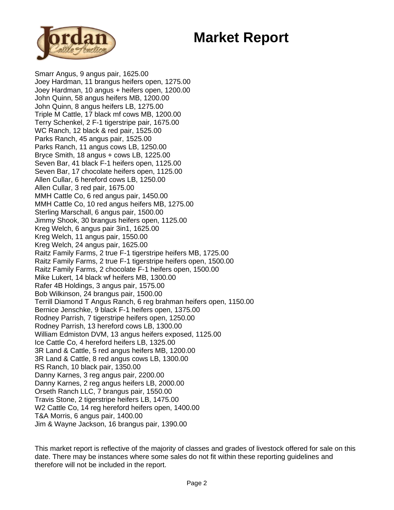## **Market Report**



Smarr Angus, 9 angus pair, 1625.00 Joey Hardman, 11 brangus heifers open, 1275.00 Joey Hardman, 10 angus + heifers open, 1200.00 John Quinn, 58 angus heifers MB, 1200.00 John Quinn, 8 angus heifers LB, 1275.00 Triple M Cattle, 17 black mf cows MB, 1200.00 Terry Schenkel, 2 F-1 tigerstripe pair, 1675.00 WC Ranch, 12 black & red pair, 1525.00 Parks Ranch, 45 angus pair, 1525.00 Parks Ranch, 11 angus cows LB, 1250.00 Bryce Smith, 18 angus + cows LB, 1225.00 Seven Bar, 41 black F-1 heifers open, 1125.00 Seven Bar, 17 chocolate heifers open, 1125.00 Allen Cullar, 6 hereford cows LB, 1250.00 Allen Cullar, 3 red pair, 1675.00 MMH Cattle Co, 6 red angus pair, 1450.00 MMH Cattle Co, 10 red angus heifers MB, 1275.00 Sterling Marschall, 6 angus pair, 1500.00 Jimmy Shook, 30 brangus heifers open, 1125.00 Kreg Welch, 6 angus pair 3in1, 1625.00 Kreg Welch, 11 angus pair, 1550.00 Kreg Welch, 24 angus pair, 1625.00 Raitz Family Farms, 2 true F-1 tigerstripe heifers MB, 1725.00 Raitz Family Farms, 2 true F-1 tigerstripe heifers open, 1500.00 Raitz Family Farms, 2 chocolate F-1 heifers open, 1500.00 Mike Lukert, 14 black wf heifers MB, 1300.00 Rafer 4B Holdings, 3 angus pair, 1575.00 Bob Wilkinson, 24 brangus pair, 1500.00 Terrill Diamond T Angus Ranch, 6 reg brahman heifers open, 1150.00 Bernice Jenschke, 9 black F-1 heifers open, 1375.00 Rodney Parrish, 7 tigerstripe heifers open, 1250.00 Rodney Parrish, 13 hereford cows LB, 1300.00 William Edmiston DVM, 13 angus heifers exposed, 1125.00 Ice Cattle Co, 4 hereford heifers LB, 1325.00 3R Land & Cattle, 5 red angus heifers MB, 1200.00 3R Land & Cattle, 8 red angus cows LB, 1300.00 RS Ranch, 10 black pair, 1350.00 Danny Karnes, 3 reg angus pair, 2200.00 Danny Karnes, 2 reg angus heifers LB, 2000.00 Orseth Ranch LLC, 7 brangus pair, 1550.00 Travis Stone, 2 tigerstripe heifers LB, 1475.00 W2 Cattle Co, 14 reg hereford heifers open, 1400.00 T&A Morris, 6 angus pair, 1400.00 Jim & Wayne Jackson, 16 brangus pair, 1390.00

This market report is reflective of the majority of classes and grades of livestock offered for sale on this date. There may be instances where some sales do not fit within these reporting guidelines and therefore will not be included in the report.